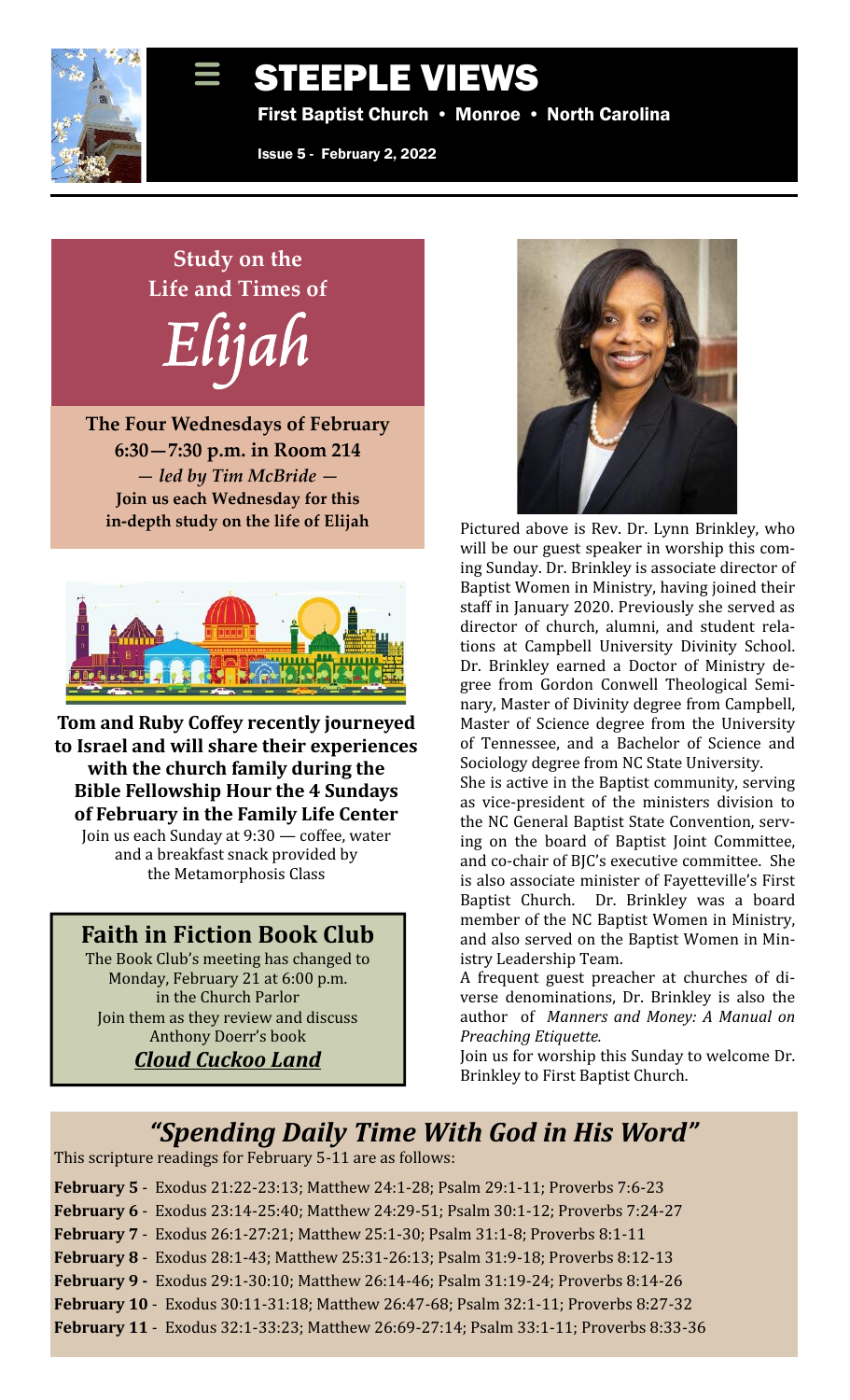

# STEEPLE VIEWS

First Baptist Church • Monroe • North Carolina

Issue 5 - February 2, 2022

# **Study on the Life and Times of Elijah**

**The Four Wednesdays of February 6:30—7:30 p.m. in Room 214** *— led by Tim McBride —* **Join us each Wednesday for this in-depth study on the life of Elijah**



Tom and Ruby Coffey recently journeyed to Israel and will share their experiences **with the church family during the Bible Fellowship Hour the 4 Sundays of February in the Family Life Center** Join us each Sunday at 9:30 — coffee, water and a breakfast snack provided by the Metamorphosis Class

### **Faith in Fiction Book Club**

The Book Club's meeting has changed to Monday, February 21 at 6:00 p.m. in the Church Parlor Join them as they review and discuss Anthony Doerr's book *Cloud Cuckoo Land*



Pictured above is Rev. Dr. Lynn Brinkley, who will be our guest speaker in worship this coming Sunday. Dr. Brinkley is associate director of Baptist Women in Ministry, having joined their staff in January 2020. Previously she served as director of church, alumni, and student relations at Campbell University Divinity School. Dr. Brinkley earned a Doctor of Ministry degree from Gordon Conwell Theological Seminary, Master of Divinity degree from Campbell, Master of Science degree from the University of Tennessee, and a Bachelor of Science and Sociology degree from NC State University.

She is active in the Baptist community, serving as vice-president of the ministers division to the NC General Baptist State Convention, serving on the board of Baptist Joint Committee, and co-chair of BJC's executive committee. She is also associate minister of Fayetteville's First Baptist Church. Dr. Brinkley was a board member of the NC Baptist Women in Ministry, and also served on the Baptist Women in Ministry Leadership Team.

A frequent guest preacher at churches of diverse denominations, Dr. Brinkley is also the author of Manners and Money: A Manual on member of the NC Baptist Women in Ministry,<br>and also served on the Baptist Women in Min-<br>istry Leadership Team.<br>A frequent guest preacher at churches of di-<br>verse denominations, Dr. Brinkley is also the<br>author of *Manners Preaching Etiquette.*

Join us for worship this Sunday to welcome Dr. Brinkley to First Baptist Church.

# *"Spending Daily Time With God in His Word"*

This scripture readings for February 5-11 are as follows:

- **February 5** Exodus 21:22-23:13; Matthew 24:1-28; Psalm 29:1-11; Proverbs 7:6-23
- **February 6** Exodus 23:14-25:40; Matthew 24:29-51; Psalm 30:1-12; Proverbs 7:24-27
- **February 7** Exodus 26:1-27:21; Matthew 25:1-30; Psalm 31:1-8; Proverbs 8:1-11
- **February 8** Exodus 28:1-43; Matthew 25:31-26:13; Psalm 31:9-18; Proverbs 8:12-13
- **February 9 Exodus 29:1-30:10; Matthew 26:14-46; Psalm 31:19-24; Proverbs 8:14-26**
- **February 10** Exodus 30:11-31:18; Matthew 26:47-68; Psalm 32:1-11; Proverbs 8:27-32
- **February 11** Exodus 32:1-33:23; Matthew 26:69-27:14; Psalm 33:1-11; Proverbs 8:33-36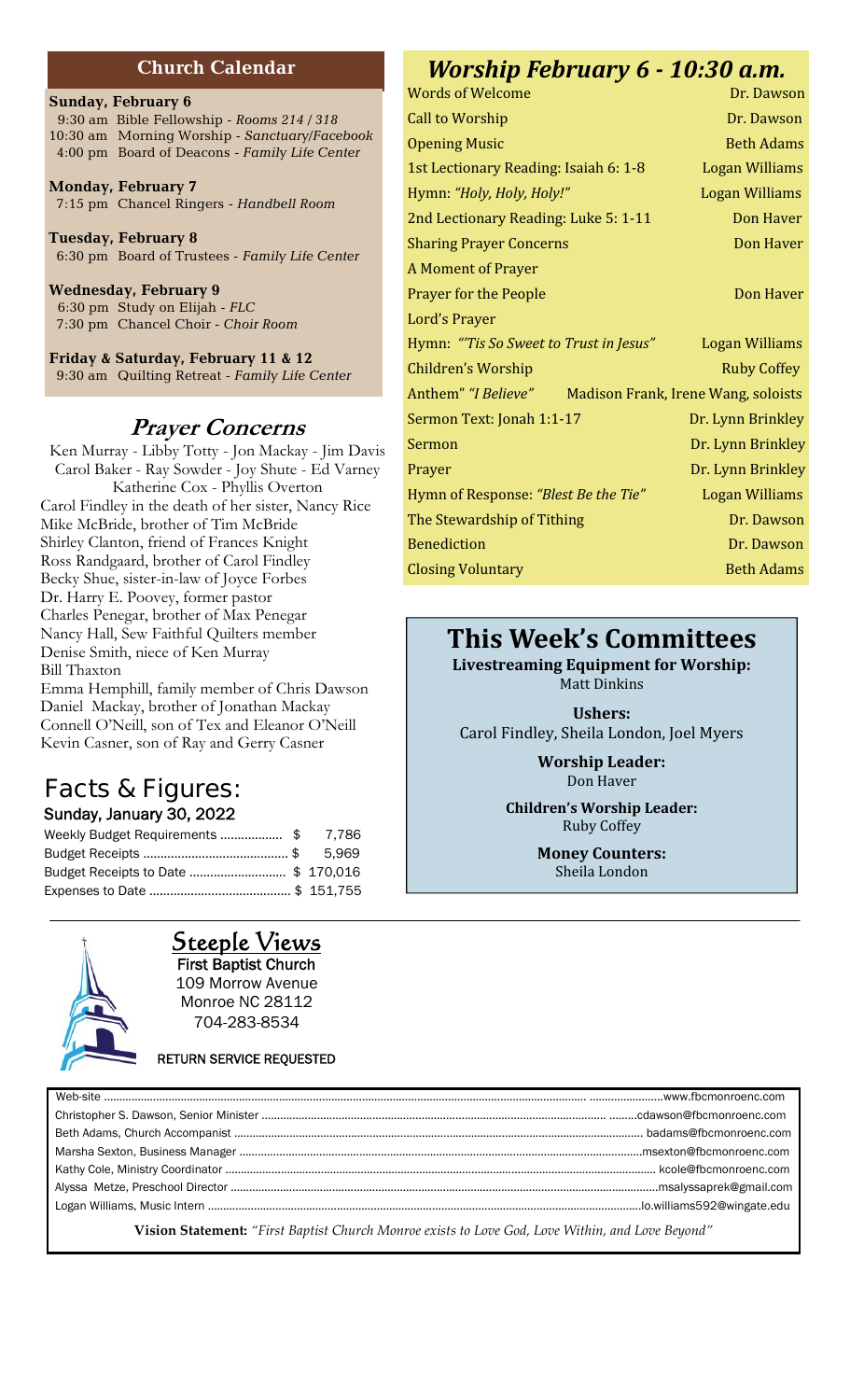#### **Church Calendar**

#### **Sunday, February 6**

9:30 am Bible Fellowship - *Rooms 214 / 318* 10:30 am Morning Worship - *Sanctuary/Facebook* 4:00 pm Board of Deacons -*Family Life Center*

**Monday, February 7** 7:15 pm Chancel Ringers - *Handbell Room*

**Tuesday, February 8** 6:30 pm Board of Trustees - *Family Life Center*

**Wednesday, February 9** 6:30 pm Study on Elijah *- FLC* 7:30 pm Chancel Choir - *Choir Room*

**Friday & Saturday, February 11 & 12** 9:30 am Quilting Retreat - *Family Life Center*

#### *Prayer Concerns*

Ken Murray - Libby Totty - Jon Mackay - Jim Davis Carol Baker - Ray Sowder - Joy Shute - Ed Varney Katherine Cox - Phyllis Overton Carol Findley in the death of her sister, Nancy Rice Mike McBride, brother of Tim McBride Shirley Clanton, friend of Frances Knight Ross Randgaard, brother of Carol Findley Becky Shue, sister-in-law of Joyce Forbes Dr. Harry E. Poovey, former pastor Charles Penegar, brother of Max Penegar Nancy Hall, Sew Faithful Quilters member Denise Smith, niece of Ken Murray Bill Thaxton

Emma Hemphill, family member of Chris Dawson Daniel Mackay, brother of Jonathan Mackay Connell O'Neill, son of Tex and Eleanor O'Neill Kevin Casner, son of Ray and Gerry Casner

# **Facts & Figures:**

#### **Sunday, January 30, 2022**

| Weekly Budget Requirements \$       | 7.786 |
|-------------------------------------|-------|
|                                     | 5.969 |
| Budget Receipts to Date  \$ 170,016 |       |
|                                     |       |



**Steeple Views First Baptist Church** 109 Morrow Avenue Monroe NC 28112 704-283-8534

## **RETURN SERVICE REQUESTED** Web-site …………………………………………………………………………………………………………………………………….…… …….……………..www.fbcmonroenc.com Christopher S. Dawson, Senior Minister ………………………………………………………………………….……………………... ……...cdawson@fbcmonroenc.com Beth Adams, Church Accompanist ……………………………………………………………………………………………………………………. badams@fbcmonroenc.com

| . kcole@fbcmonroenc.com_ |
|--------------------------|
| .msalyssaprek@gmail.com  |
|                          |
|                          |

**Vision Statement:** *"First Baptist Church Monroe exists to Love God, Love Within, and Love Beyond"*

## *Worship February 6 - 10:30 a.m.*

# **This Week's Committees**

**Livestreaming Equipment for Worship:** 

Matt Dinkins

**Ushers:** Carol Findley, Sheila London, Joel Myers

> **Worship Leader:** Don Haver

**Children's Worship Leader:** Ruby Coffey

> **Money Counters:** Sheila London